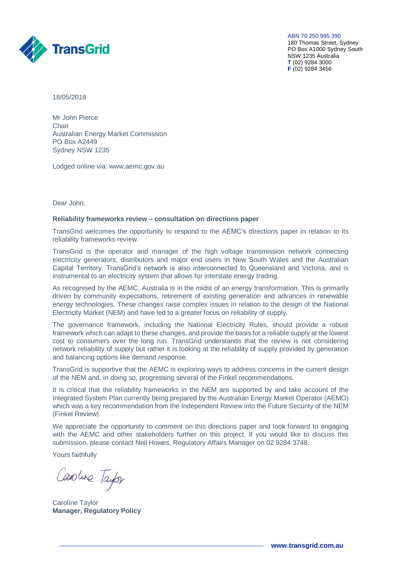

ABN 70 250 995 390 180 Thomas Street, Sydney PO Box A1000 Sydney South NSW 1235 Australia **T** (02) 9284 3000 **F** (02) 9284 3456

18/05/2018

Mr John Pierce **Chair** Australian Energy Market Commission PO Box A2449 Sydney NSW 1235

Lodged online via: [www.aemc.gov.au](http://www.aemc.gov.au/) 

Dear John,

#### **Reliability frameworks review – consultation on directions paper**

TransGrid welcomes the opportunity to respond to the AEMC's directions paper in relation to its reliability frameworks review.

TransGrid is the operator and manager of the high voltage transmission network connecting electricity generators, distributors and major end users in New South Wales and the Australian Capital Territory. TransGrid's network is also interconnected to Queensland and Victoria, and is instrumental to an electricity system that allows for interstate energy trading.

As recognised by the AEMC, Australia is in the midst of an energy transformation. This is primarily driven by community expectations, retirement of existing generation and advances in renewable energy technologies. These changes raise complex issues in relation to the design of the National Electricity Market (NEM) and have led to a greater focus on reliability of supply.

The governance framework, including the National Electricity Rules, should provide a robust framework which can adapt to these changes, and provide the basis for a reliable supply at the lowest cost to consumers over the long run. TransGrid understands that the review is not considering network reliability of supply but rather it is looking at the reliability of supply provided by generation and balancing options like demand response.

TransGrid is supportive that the AEMC is exploring ways to address concerns in the current design of the NEM and, in doing so, progressing several of the Finkel recommendations.

It is critical that the reliability frameworks in the NEM are supported by and take account of the Integrated System Plan currently being prepared by the Australian Energy Market Operator (AEMO) which was a key recommendation from the Independent Review into the Future Security of the NEM (Finkel Review).

We appreciate the opportunity to comment on this directions paper and look forward to engaging with the AEMC and other stakeholders further on this project. If you would like to discuss this submission, please contact Neil Howes, Regulatory Affairs Manager on 02 9284 3748.

Yours faithfully

Caroline Taylor

Caroline Taylor **Manager, Regulatory Policy**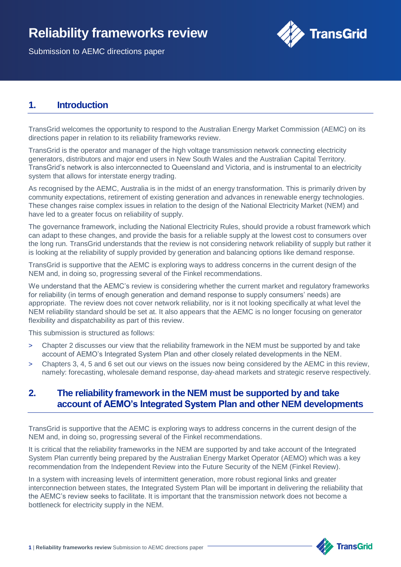# **Reliability frameworks review**



Submission to AEMC directions paper

## **1. Introduction**

TransGrid welcomes the opportunity to respond to the Australian Energy Market Commission (AEMC) on its directions paper in relation to its reliability frameworks review.

TransGrid is the operator and manager of the high voltage transmission network connecting electricity generators, distributors and major end users in New South Wales and the Australian Capital Territory. TransGrid's network is also interconnected to Queensland and Victoria, and is instrumental to an electricity system that allows for interstate energy trading.

As recognised by the AEMC, Australia is in the midst of an energy transformation. This is primarily driven by community expectations, retirement of existing generation and advances in renewable energy technologies. These changes raise complex issues in relation to the design of the National Electricity Market (NEM) and have led to a greater focus on reliability of supply.

The governance framework, including the National Electricity Rules, should provide a robust framework which can adapt to these changes, and provide the basis for a reliable supply at the lowest cost to consumers over the long run. TransGrid understands that the review is not considering network reliability of supply but rather it is looking at the reliability of supply provided by generation and balancing options like demand response.

TransGrid is supportive that the AEMC is exploring ways to address concerns in the current design of the NEM and, in doing so, progressing several of the Finkel recommendations.

We understand that the AEMC's review is considering whether the current market and regulatory frameworks for reliability (in terms of enough generation and demand response to supply consumers' needs) are appropriate. The review does not cover network reliability, nor is it not looking specifically at what level the NEM reliability standard should be set at. It also appears that the AEMC is no longer focusing on generator flexibility and dispatchability as part of this review.

This submission is structured as follows:

- > Chapter 2 discusses our view that the reliability framework in the NEM must be supported by and take account of AEMO's Integrated System Plan and other closely related developments in the NEM.
- > Chapters 3, 4, 5 and 6 set out our views on the issues now being considered by the AEMC in this review, namely: forecasting, wholesale demand response, day-ahead markets and strategic reserve respectively.

### **2. The reliability framework in the NEM must be supported by and take account of AEMO's Integrated System Plan and other NEM developments**

TransGrid is supportive that the AEMC is exploring ways to address concerns in the current design of the NEM and, in doing so, progressing several of the Finkel recommendations.

It is critical that the reliability frameworks in the NEM are supported by and take account of the Integrated System Plan currently being prepared by the Australian Energy Market Operator (AEMO) which was a key recommendation from the Independent Review into the Future Security of the NEM (Finkel Review).

In a system with increasing levels of intermittent generation, more robust regional links and greater interconnection between states, the Integrated System Plan will be important in delivering the reliability that the AEMC's review seeks to facilitate. It is important that the transmission network does not become a bottleneck for electricity supply in the NEM.

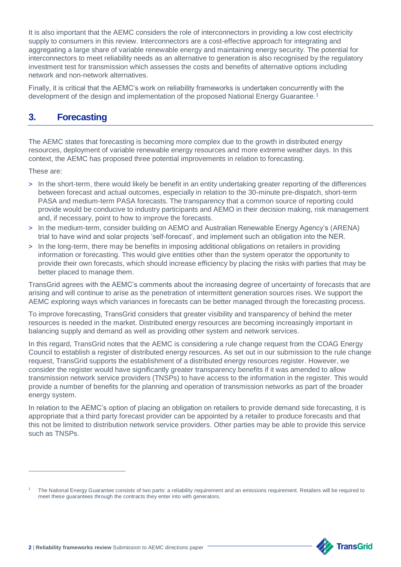It is also important that the AEMC considers the role of interconnectors in providing a low cost electricity supply to consumers in this review. Interconnectors are a cost-effective approach for integrating and aggregating a large share of variable renewable energy and maintaining energy security. The potential for interconnectors to meet reliability needs as an alternative to generation is also recognised by the regulatory investment test for transmission which assesses the costs and benefits of alternative options including network and non-network alternatives.

Finally, it is critical that the AEMC's work on reliability frameworks is undertaken concurrently with the development of the design and implementation of the proposed National Energy Guarantee.<sup>1</sup>

# **3. Forecasting**

The AEMC states that forecasting is becoming more complex due to the growth in distributed energy resources, deployment of variable renewable energy resources and more extreme weather days. In this context, the AEMC has proposed three potential improvements in relation to forecasting.

These are:

 $\overline{a}$ 

- > In the short-term, there would likely be benefit in an entity undertaking greater reporting of the differences between forecast and actual outcomes, especially in relation to the 30-minute pre-dispatch, short-term PASA and medium-term PASA forecasts. The transparency that a common source of reporting could provide would be conducive to industry participants and AEMO in their decision making, risk management and, if necessary, point to how to improve the forecasts.
- > In the medium-term, consider building on AEMO and Australian Renewable Energy Agency's (ARENA) trial to have wind and solar projects 'self-forecast', and implement such an obligation into the NER.
- > In the long-term, there may be benefits in imposing additional obligations on retailers in providing information or forecasting. This would give entities other than the system operator the opportunity to provide their own forecasts, which should increase efficiency by placing the risks with parties that may be better placed to manage them.

TransGrid agrees with the AEMC's comments about the increasing degree of uncertainty of forecasts that are arising and will continue to arise as the penetration of intermittent generation sources rises. We support the AEMC exploring ways which variances in forecasts can be better managed through the forecasting process.

To improve forecasting, TransGrid considers that greater visibility and transparency of behind the meter resources is needed in the market. Distributed energy resources are becoming increasingly important in balancing supply and demand as well as providing other system and network services.

In this regard, TransGrid notes that the AEMC is considering a rule change request from the COAG Energy Council to establish a register of distributed energy resources. As set out in our submission to the rule change request, TransGrid supports the establishment of a distributed energy resources register. However, we consider the register would have significantly greater transparency benefits if it was amended to allow transmission network service providers (TNSPs) to have access to the information in the register. This would provide a number of benefits for the planning and operation of transmission networks as part of the broader energy system.

In relation to the AEMC's option of placing an obligation on retailers to provide demand side forecasting, it is appropriate that a third party forecast provider can be appointed by a retailer to produce forecasts and that this not be limited to distribution network service providers. Other parties may be able to provide this service such as TNSPs.



The National Energy Guarantee consists of two parts: a reliability requirement and an emissions requirement. Retailers will be required to meet these guarantees through the contracts they enter into with generators.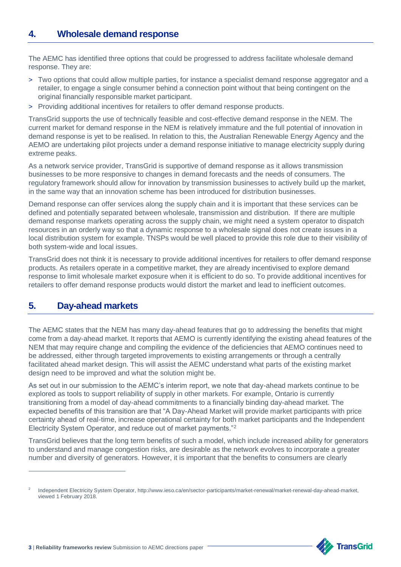## **4. Wholesale demand response**

The AEMC has identified three options that could be progressed to address facilitate wholesale demand response. They are:

- > Two options that could allow multiple parties, for instance a specialist demand response aggregator and a retailer, to engage a single consumer behind a connection point without that being contingent on the original financially responsible market participant.
- > Providing additional incentives for retailers to offer demand response products.

TransGrid supports the use of technically feasible and cost-effective demand response in the NEM. The current market for demand response in the NEM is relatively immature and the full potential of innovation in demand response is yet to be realised. In relation to this, the Australian Renewable Energy Agency and the AEMO are undertaking pilot projects under a demand response initiative to manage electricity supply during extreme peaks.

As a network service provider, TransGrid is supportive of demand response as it allows transmission businesses to be more responsive to changes in demand forecasts and the needs of consumers. The regulatory framework should allow for innovation by transmission businesses to actively build up the market, in the same way that an innovation scheme has been introduced for distribution businesses.

Demand response can offer services along the supply chain and it is important that these services can be defined and potentially separated between wholesale, transmission and distribution. If there are multiple demand response markets operating across the supply chain, we might need a system operator to dispatch resources in an orderly way so that a dynamic response to a wholesale signal does not create issues in a local distribution system for example. TNSPs would be well placed to provide this role due to their visibility of both system-wide and local issues.

TransGrid does not think it is necessary to provide additional incentives for retailers to offer demand response products. As retailers operate in a competitive market, they are already incentivised to explore demand response to limit wholesale market exposure when it is efficient to do so. To provide additional incentives for retailers to offer demand response products would distort the market and lead to inefficient outcomes.

#### **5. Day-ahead markets**

 $\overline{a}$ 

The AEMC states that the NEM has many day-ahead features that go to addressing the benefits that might come from a day-ahead market. It reports that AEMO is currently identifying the existing ahead features of the NEM that may require change and compiling the evidence of the deficiencies that AEMO continues need to be addressed, either through targeted improvements to existing arrangements or through a centrally facilitated ahead market design. This will assist the AEMC understand what parts of the existing market design need to be improved and what the solution might be.

As set out in our submission to the AEMC's interim report, we note that day-ahead markets continue to be explored as tools to support reliability of supply in other markets. For example, Ontario is currently transitioning from a model of day-ahead commitments to a financially binding day-ahead market. The expected benefits of this transition are that "A Day-Ahead Market will provide market participants with price certainty ahead of real-time, increase operational certainty for both market participants and the Independent Electricity System Operator, and reduce out of market payments."<sup>2</sup>

TransGrid believes that the long term benefits of such a model, which include increased ability for generators to understand and manage congestion risks, are desirable as the network evolves to incorporate a greater number and diversity of generators. However, it is important that the benefits to consumers are clearly



<sup>2</sup> Independent Electricity System Operator, http://www.ieso.ca/en/sector-participants/market-renewal/market-renewal-day-ahead-market, viewed 1 February 2018.